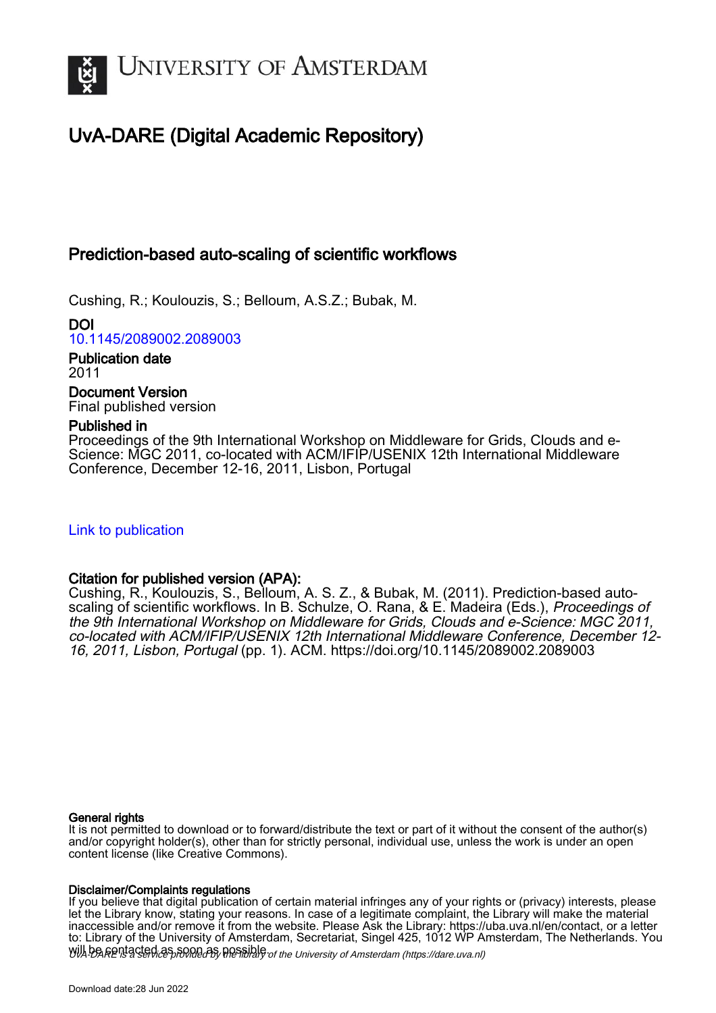

# UvA-DARE (Digital Academic Repository)

# Prediction-based auto-scaling of scientific workflows

Cushing, R.; Koulouzis, S.; Belloum, A.S.Z.; Bubak, M.

DOI [10.1145/2089002.2089003](https://doi.org/10.1145/2089002.2089003)

Publication date 2011

## Document Version Final published version

Published in

Proceedings of the 9th International Workshop on Middleware for Grids, Clouds and e-Science: MGC 2011, co-located with ACM/IFIP/USENIX 12th International Middleware Conference, December 12-16, 2011, Lisbon, Portugal

# [Link to publication](https://dare.uva.nl/personal/pure/en/publications/predictionbased-autoscaling-of-scientific-workflows(2ec61774-bbcd-4ba6-849f-f2b48c6749cf).html)

# Citation for published version (APA):

Cushing, R., Koulouzis, S., Belloum, A. S. Z., & Bubak, M. (2011). Prediction-based autoscaling of scientific workflows. In B. Schulze, O. Rana, & E. Madeira (Eds.), Proceedings of the 9th International Workshop on Middleware for Grids, Clouds and e-Science: MGC 2011, co-located with ACM/IFIP/USENIX 12th International Middleware Conference, December 12- 16, 2011, Lisbon, Portugal (pp. 1). ACM. <https://doi.org/10.1145/2089002.2089003>

# General rights

It is not permitted to download or to forward/distribute the text or part of it without the consent of the author(s) and/or copyright holder(s), other than for strictly personal, individual use, unless the work is under an open content license (like Creative Commons).

## Disclaimer/Complaints regulations

Will be **Rentacted as solutions** the spilling of the University of Amsterdam (https://dare.uva.nl) If you believe that digital publication of certain material infringes any of your rights or (privacy) interests, please let the Library know, stating your reasons. In case of a legitimate complaint, the Library will make the material inaccessible and/or remove it from the website. Please Ask the Library: https://uba.uva.nl/en/contact, or a letter to: Library of the University of Amsterdam, Secretariat, Singel 425, 1012 WP Amsterdam, The Netherlands. You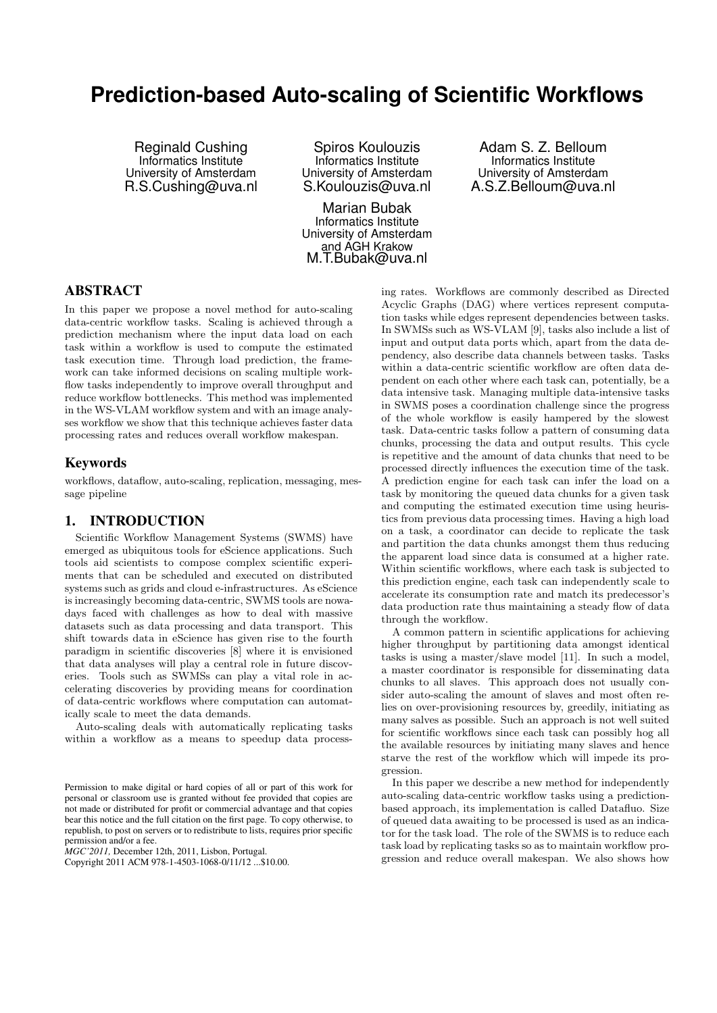# **Prediction-based Auto-scaling of Scientific Workflows**

Reginald Cushing Informatics Institute University of Amsterdam R.S.Cushing@uva.nl

Spiros Koulouzis Informatics Institute University of Amsterdam S.Koulouzis@uva.nl

Marian Bubak Informatics Institute University of Amsterdam and AGH Krakow M.T.Bubak@uva.nl

Adam S. Z. Belloum Informatics Institute University of Amsterdam A.S.Z.Belloum@uva.nl

# ABSTRACT

In this paper we propose a novel method for auto-scaling data-centric workflow tasks. Scaling is achieved through a prediction mechanism where the input data load on each task within a workflow is used to compute the estimated task execution time. Through load prediction, the framework can take informed decisions on scaling multiple workflow tasks independently to improve overall throughput and reduce workflow bottlenecks. This method was implemented in the WS-VLAM workflow system and with an image analyses workflow we show that this technique achieves faster data processing rates and reduces overall workflow makespan.

#### Keywords

workflows, dataflow, auto-scaling, replication, messaging, message pipeline

# 1. INTRODUCTION

Scientific Workflow Management Systems (SWMS) have emerged as ubiquitous tools for eScience applications. Such tools aid scientists to compose complex scientific experiments that can be scheduled and executed on distributed systems such as grids and cloud e-infrastructures. As eScience is increasingly becoming data-centric, SWMS tools are nowadays faced with challenges as how to deal with massive datasets such as data processing and data transport. This shift towards data in eScience has given rise to the fourth paradigm in scientific discoveries [8] where it is envisioned that data analyses will play a central role in future discoveries. Tools such as SWMSs can play a vital role in accelerating discoveries by providing means for coordination of data-centric workflows where computation can automatically scale to meet the data demands.

Auto-scaling deals with automatically replicating tasks within a workflow as a means to speedup data process-

*MGC'2011,* December 12th, 2011, Lisbon, Portugal.

Copyright 2011 ACM 978-1-4503-1068-0/11/12 ...\$10.00.

ing rates. Workflows are commonly described as Directed Acyclic Graphs (DAG) where vertices represent computation tasks while edges represent dependencies between tasks. In SWMSs such as WS-VLAM [9], tasks also include a list of input and output data ports which, apart from the data dependency, also describe data channels between tasks. Tasks within a data-centric scientific workflow are often data dependent on each other where each task can, potentially, be a data intensive task. Managing multiple data-intensive tasks in SWMS poses a coordination challenge since the progress of the whole workflow is easily hampered by the slowest task. Data-centric tasks follow a pattern of consuming data chunks, processing the data and output results. This cycle is repetitive and the amount of data chunks that need to be processed directly influences the execution time of the task. A prediction engine for each task can infer the load on a task by monitoring the queued data chunks for a given task and computing the estimated execution time using heuristics from previous data processing times. Having a high load on a task, a coordinator can decide to replicate the task and partition the data chunks amongst them thus reducing the apparent load since data is consumed at a higher rate. Within scientific workflows, where each task is subjected to this prediction engine, each task can independently scale to accelerate its consumption rate and match its predecessor's data production rate thus maintaining a steady flow of data through the workflow.

A common pattern in scientific applications for achieving higher throughput by partitioning data amongst identical tasks is using a master/slave model [11]. In such a model, a master coordinator is responsible for disseminating data chunks to all slaves. This approach does not usually consider auto-scaling the amount of slaves and most often relies on over-provisioning resources by, greedily, initiating as many salves as possible. Such an approach is not well suited for scientific workflows since each task can possibly hog all the available resources by initiating many slaves and hence starve the rest of the workflow which will impede its progression.

In this paper we describe a new method for independently auto-scaling data-centric workflow tasks using a predictionbased approach, its implementation is called Datafluo. Size of queued data awaiting to be processed is used as an indicator for the task load. The role of the SWMS is to reduce each task load by replicating tasks so as to maintain workflow progression and reduce overall makespan. We also shows how

Permission to make digital or hard copies of all or part of this work for personal or classroom use is granted without fee provided that copies are not made or distributed for profit or commercial advantage and that copies bear this notice and the full citation on the first page. To copy otherwise, to republish, to post on servers or to redistribute to lists, requires prior specific permission and/or a fee.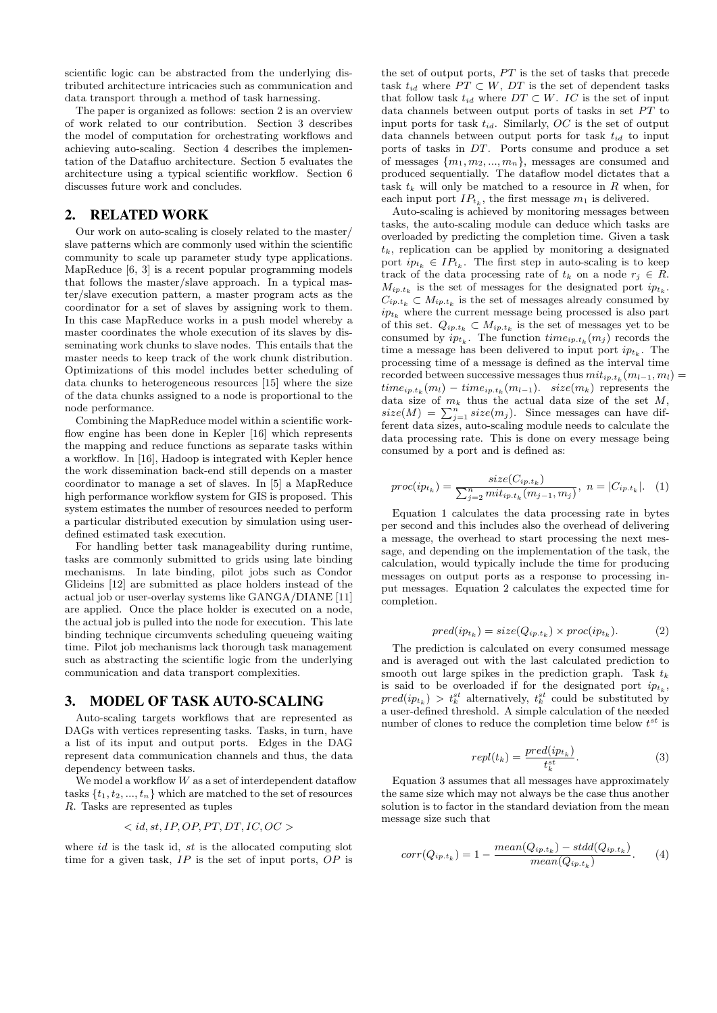scientific logic can be abstracted from the underlying distributed architecture intricacies such as communication and data transport through a method of task harnessing.

The paper is organized as follows: section 2 is an overview of work related to our contribution. Section 3 describes the model of computation for orchestrating workflows and achieving auto-scaling. Section 4 describes the implementation of the Datafluo architecture. Section 5 evaluates the architecture using a typical scientific workflow. Section 6 discusses future work and concludes.

#### 2. RELATED WORK

Our work on auto-scaling is closely related to the master/ slave patterns which are commonly used within the scientific community to scale up parameter study type applications. MapReduce [6, 3] is a recent popular programming models that follows the master/slave approach. In a typical master/slave execution pattern, a master program acts as the coordinator for a set of slaves by assigning work to them. In this case MapReduce works in a push model whereby a master coordinates the whole execution of its slaves by disseminating work chunks to slave nodes. This entails that the master needs to keep track of the work chunk distribution. Optimizations of this model includes better scheduling of data chunks to heterogeneous resources [15] where the size of the data chunks assigned to a node is proportional to the node performance.

Combining the MapReduce model within a scientific workflow engine has been done in Kepler [16] which represents the mapping and reduce functions as separate tasks within a workflow. In [16], Hadoop is integrated with Kepler hence the work dissemination back-end still depends on a master coordinator to manage a set of slaves. In [5] a MapReduce high performance workflow system for GIS is proposed. This system estimates the number of resources needed to perform a particular distributed execution by simulation using userdefined estimated task execution.

For handling better task manageability during runtime, tasks are commonly submitted to grids using late binding mechanisms. In late binding, pilot jobs such as Condor Glideins [12] are submitted as place holders instead of the actual job or user-overlay systems like GANGA/DIANE [11] are applied. Once the place holder is executed on a node, the actual job is pulled into the node for execution. This late binding technique circumvents scheduling queueing waiting time. Pilot job mechanisms lack thorough task management such as abstracting the scientific logic from the underlying communication and data transport complexities.

#### 3. MODEL OF TASK AUTO-SCALING

Auto-scaling targets workflows that are represented as DAGs with vertices representing tasks. Tasks, in turn, have a list of its input and output ports. Edges in the DAG represent data communication channels and thus, the data dependency between tasks.

We model a workflow  $W$  as a set of interdependent dataflow tasks  $\{t_1, t_2, ..., t_n\}$  which are matched to the set of resources R. Tasks are represented as tuples

$$
id, st, IP, OP, PT, DT, IC, OC >
$$

where  $id$  is the task id,  $st$  is the allocated computing slot time for a given task,  $IP$  is the set of input ports,  $OP$  is

the set of output ports,  $PT$  is the set of tasks that precede task  $t_{id}$  where  $PT \subset W$ ,  $DT$  is the set of dependent tasks that follow task  $t_{id}$  where  $DT \subset W$ . IC is the set of input data channels between output ports of tasks in set  $PT$  to input ports for task  $t_{id}$ . Similarly, OC is the set of output data channels between output ports for task  $t_{id}$  to input ports of tasks in DT. Ports consume and produce a set of messages  $\{m_1, m_2, ..., m_n\}$ , messages are consumed and produced sequentially. The dataflow model dictates that a task  $t_k$  will only be matched to a resource in R when, for each input port  $IP_{t_k}$ , the first message  $m_1$  is delivered.

Auto-scaling is achieved by monitoring messages between tasks, the auto-scaling module can deduce which tasks are overloaded by predicting the completion time. Given a task  $t_k$ , replication can be applied by monitoring a designated port  $ip_{t_k} \in IP_{t_k}$ . The first step in auto-scaling is to keep track of the data processing rate of  $t_k$  on a node  $r_j \in R$ .  $M_{ip.t_k}$  is the set of messages for the designated port  $ip_{t_k}$ .  $C_{ip.t_k} \subset M_{ip.t_k}$  is the set of messages already consumed by  $ip_{t_k}$  where the current message being processed is also part of this set.  $Q_{ip.t_k} \subset M_{ip.t_k}$  is the set of messages yet to be consumed by  $ip_{t_k}$ . The function  $time_{ip.t_k}(m_j)$  records the time a message has been delivered to input port  $ip_{t_k}$ . The processing time of a message is defined as the interval time recorded between successive messages thus  $mit_{ip.t_k}(m_{l-1}, m_l) =$  $time_{ip.t_k}(m_l) - time_{ip.t_k}(m_{l-1})$ .  $size(m_k)$  represents the data size of  $m_k$  thus the actual data size of the set M,  $size(M) = \sum_{j=1}^{n} size(m_j)$ . Since messages can have different data sizes, auto-scaling module needs to calculate the data processing rate. This is done on every message being consumed by a port and is defined as:

$$
proc(ip_{t_k}) = \frac{size(C_{ip.t_k})}{\sum_{j=2}^{n} mit_{ip.t_k}(m_{j-1}, m_j)}, \ n = |C_{ip.t_k}|.
$$
 (1)

Equation 1 calculates the data processing rate in bytes per second and this includes also the overhead of delivering a message, the overhead to start processing the next message, and depending on the implementation of the task, the calculation, would typically include the time for producing messages on output ports as a response to processing input messages. Equation 2 calculates the expected time for completion.

$$
pred(ip_{t_k}) = size(Q_{ip.t_k}) \times proc(ip_{t_k}). \tag{2}
$$

The prediction is calculated on every consumed message and is averaged out with the last calculated prediction to smooth out large spikes in the prediction graph. Task  $t_k$ is said to be overloaded if for the designated port  $ip_{t_k}$ ,  $pred(ip_{t_k}) > t_k^{st}$  alternatively,  $t_k^{st}$  could be substituted by a user-defined threshold. A simple calculation of the needed number of clones to reduce the completion time below  $t^{st}$  is

$$
repl(t_k) = \frac{pred(ip_{t_k})}{t_k^{st}}.\tag{3}
$$

Equation 3 assumes that all messages have approximately the same size which may not always be the case thus another solution is to factor in the standard deviation from the mean message size such that

$$
corr(Q_{ip.t_k}) = 1 - \frac{mean(Q_{ip.t_k}) - std(Q_{ip.t_k})}{mean(Q_{ip.t_k})}.
$$
 (4)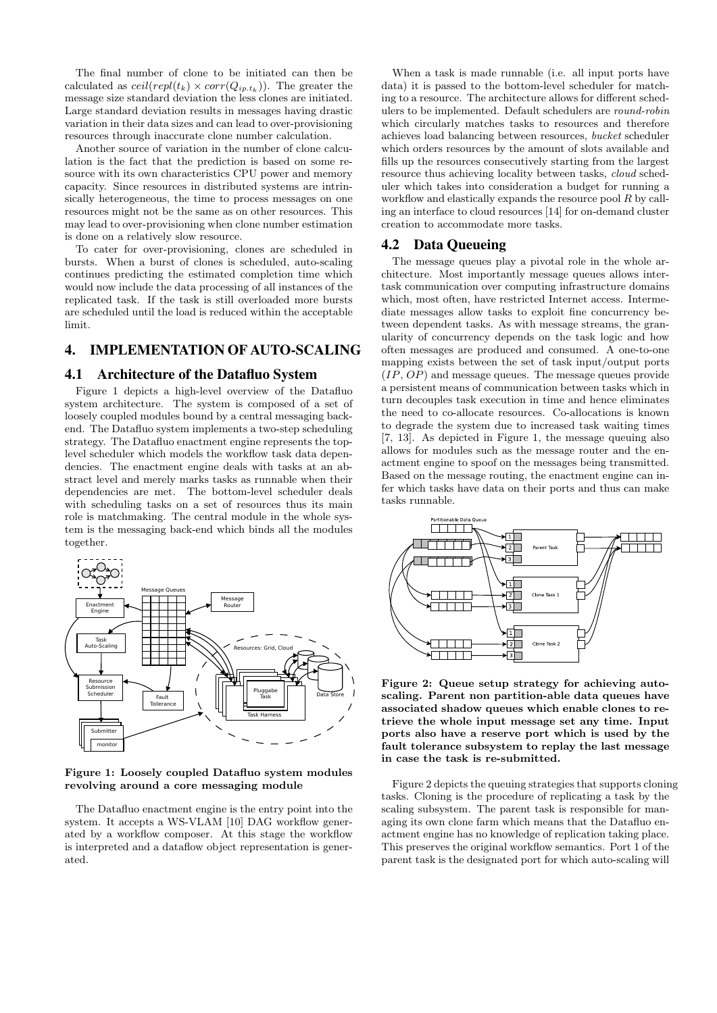The final number of clone to be initiated can then be calculated as  $ceil(repl(t_k) \times corr(Q_{ip,t_k}))$ . The greater the message size standard deviation the less clones are initiated. Large standard deviation results in messages having drastic variation in their data sizes and can lead to over-provisioning resources through inaccurate clone number calculation.

Another source of variation in the number of clone calculation is the fact that the prediction is based on some resource with its own characteristics CPU power and memory capacity. Since resources in distributed systems are intrinsically heterogeneous, the time to process messages on one resources might not be the same as on other resources. This may lead to over-provisioning when clone number estimation is done on a relatively slow resource.

To cater for over-provisioning, clones are scheduled in bursts. When a burst of clones is scheduled, auto-scaling continues predicting the estimated completion time which would now include the data processing of all instances of the replicated task. If the task is still overloaded more bursts are scheduled until the load is reduced within the acceptable limit.

# 4. IMPLEMENTATION OF AUTO-SCALING

#### 4.1 Architecture of the Datafluo System

Figure 1 depicts a high-level overview of the Datafluo system architecture. The system is composed of a set of loosely coupled modules bound by a central messaging backend. The Datafluo system implements a two-step scheduling strategy. The Datafluo enactment engine represents the toplevel scheduler which models the workflow task data dependencies. The enactment engine deals with tasks at an abstract level and merely marks tasks as runnable when their dependencies are met. The bottom-level scheduler deals with scheduling tasks on a set of resources thus its main role is matchmaking. The central module in the whole system is the messaging back-end which binds all the modules together.



Figure 1: Loosely coupled Datafluo system modules revolving around a core messaging module

The Datafluo enactment engine is the entry point into the system. It accepts a WS-VLAM [10] DAG workflow generated by a workflow composer. At this stage the workflow is interpreted and a dataflow object representation is generated.

When a task is made runnable (i.e. all input ports have data) it is passed to the bottom-level scheduler for matching to a resource. The architecture allows for different schedulers to be implemented. Default schedulers are round-robin which circularly matches tasks to resources and therefore achieves load balancing between resources, bucket scheduler which orders resources by the amount of slots available and fills up the resources consecutively starting from the largest resource thus achieving locality between tasks, *cloud* scheduler which takes into consideration a budget for running a workflow and elastically expands the resource pool R by calling an interface to cloud resources [14] for on-demand cluster creation to accommodate more tasks.

#### 4.2 Data Queueing

The message queues play a pivotal role in the whole architecture. Most importantly message queues allows intertask communication over computing infrastructure domains which, most often, have restricted Internet access. Intermediate messages allow tasks to exploit fine concurrency between dependent tasks. As with message streams, the granularity of concurrency depends on the task logic and how often messages are produced and consumed. A one-to-one mapping exists between the set of task input/output ports (IP, OP) and message queues. The message queues provide a persistent means of communication between tasks which in turn decouples task execution in time and hence eliminates the need to co-allocate resources. Co-allocations is known to degrade the system due to increased task waiting times [7, 13]. As depicted in Figure 1, the message queuing also allows for modules such as the message router and the enactment engine to spoof on the messages being transmitted. Based on the message routing, the enactment engine can infer which tasks have data on their ports and thus can make tasks runnable.



Figure 2: Queue setup strategy for achieving autoscaling. Parent non partition-able data queues have associated shadow queues which enable clones to retrieve the whole input message set any time. Input ports also have a reserve port which is used by the fault tolerance subsystem to replay the last message in case the task is re-submitted.

Figure 2 depicts the queuing strategies that supports cloning tasks. Cloning is the procedure of replicating a task by the scaling subsystem. The parent task is responsible for managing its own clone farm which means that the Datafluo enactment engine has no knowledge of replication taking place. This preserves the original workflow semantics. Port 1 of the parent task is the designated port for which auto-scaling will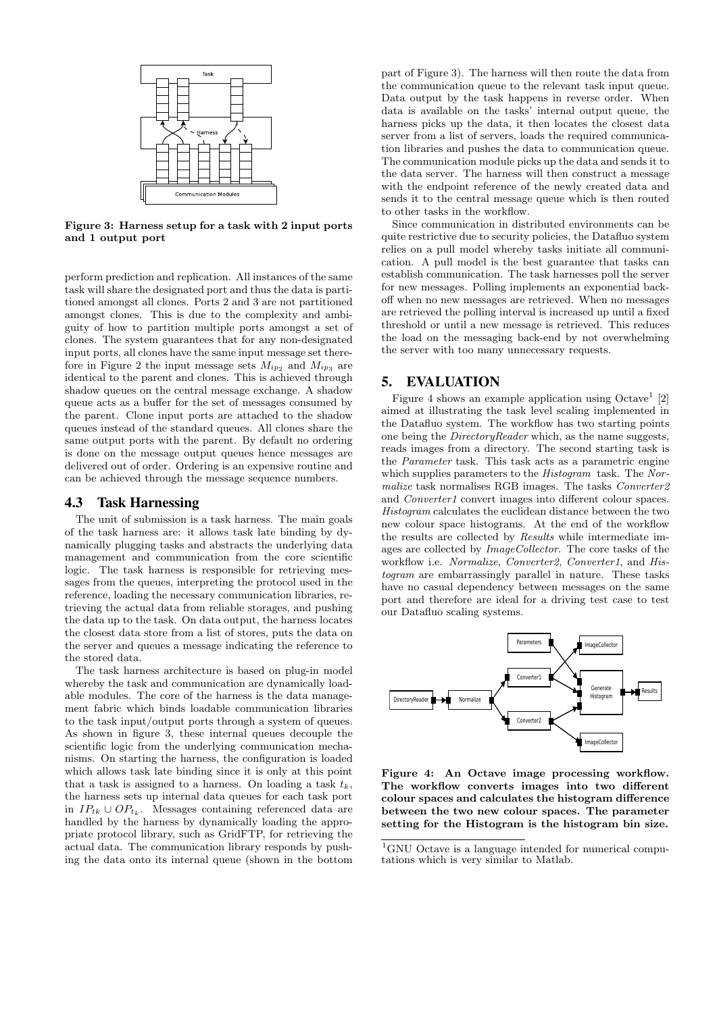

Figure 3: Harness setup for a task with 2 input ports and 1 output port

perform prediction and replication. All instances of the same task will share the designated port and thus the data is partitioned amongst all clones. Ports 2 and 3 are not partitioned amongst clones. This is due to the complexity and ambiguity of how to partition multiple ports amongst a set of clones. The system guarantees that for any non-designated input ports, all clones have the same input message set therefore in Figure 2 the input message sets  $M_{ip_2}$  and  $M_{ip_3}$  are identical to the parent and clones. This is achieved through shadow queues on the central message exchange. A shadow queue acts as a buffer for the set of messages consumed by the parent. Clone input ports are attached to the shadow queues instead of the standard queues. All clones share the same output ports with the parent. By default no ordering is done on the message output queues hence messages are delivered out of order. Ordering is an expensive routine and can be achieved through the message sequence numbers.

#### 4.3 Task Harnessing

The unit of submission is a task harness. The main goals of the task harness are: it allows task late binding by dynamically plugging tasks and abstracts the underlying data management and communication from the core scientific logic. The task harness is responsible for retrieving messages from the queues, interpreting the protocol used in the reference, loading the necessary communication libraries, retrieving the actual data from reliable storages, and pushing the data up to the task. On data output, the harness locates the closest data store from a list of stores, puts the data on the server and queues a message indicating the reference to the stored data.

The task harness architecture is based on plug-in model whereby the task and communication are dynamically loadable modules. The core of the harness is the data management fabric which binds loadable communication libraries to the task input/output ports through a system of queues. As shown in figure 3, these internal queues decouple the scientific logic from the underlying communication mechanisms. On starting the harness, the configuration is loaded which allows task late binding since it is only at this point that a task is assigned to a harness. On loading a task  $t_k$ , the harness sets up internal data queues for each task port in  $IP_{tk} \cup OP_{t_k}$ . Messages containing referenced data are handled by the harness by dynamically loading the appropriate protocol library, such as GridFTP, for retrieving the actual data. The communication library responds by pushing the data onto its internal queue (shown in the bottom

part of Figure 3). The harness will then route the data from the communication queue to the relevant task input queue. Data output by the task happens in reverse order. When data is available on the tasks' internal output queue, the harness picks up the data, it then locates the closest data server from a list of servers, loads the required communication libraries and pushes the data to communication queue. The communication module picks up the data and sends it to the data server. The harness will then construct a message with the endpoint reference of the newly created data and sends it to the central message queue which is then routed to other tasks in the workflow.

Since communication in distributed environments can be quite restrictive due to security policies, the Datafluo system relies on a pull model whereby tasks initiate all communication. A pull model is the best guarantee that tasks can establish communication. The task harnesses poll the server for new messages. Polling implements an exponential backoff when no new messages are retrieved. When no messages are retrieved the polling interval is increased up until a fixed threshold or until a new message is retrieved. This reduces the load on the messaging back-end by not overwhelming the server with too many unnecessary requests.

## 5. EVALUATION

Figure 4 shows an example application using  $Octave<sup>1</sup> [2]$ aimed at illustrating the task level scaling implemented in the Datafluo system. The workflow has two starting points one being the DirectoryReader which, as the name suggests, reads images from a directory. The second starting task is the Parameter task. This task acts as a parametric engine which supplies parameters to the *Histogram* task. The Normalize task normalises RGB images. The tasks Converter2 and Converter1 convert images into different colour spaces. Histogram calculates the euclidean distance between the two new colour space histograms. At the end of the workflow the results are collected by Results while intermediate images are collected by *ImageCollector*. The core tasks of the workflow i.e. Normalize, Converter2, Converter1, and Histogram are embarrassingly parallel in nature. These tasks have no casual dependency between messages on the same port and therefore are ideal for a driving test case to test our Datafluo scaling systems.



Figure 4: An Octave image processing workflow. The workflow converts images into two different colour spaces and calculates the histogram difference between the two new colour spaces. The parameter setting for the Histogram is the histogram bin size.

 ${}^{1}$ GNU Octave is a language intended for numerical computations which is very similar to Matlab.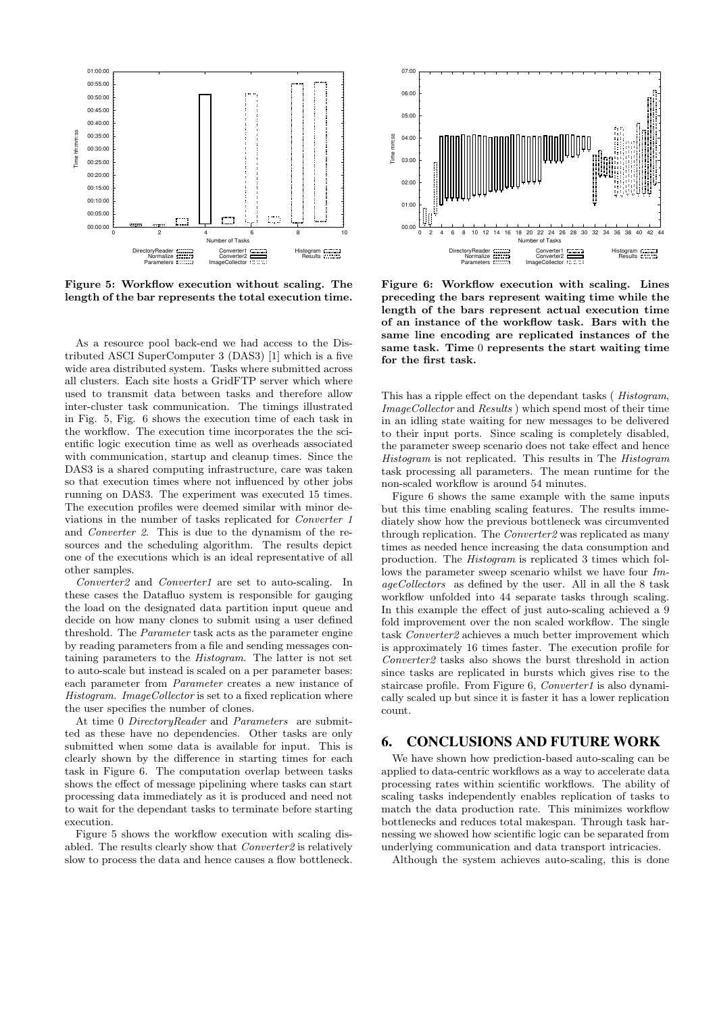

Figure 5: Workflow execution without scaling. The length of the bar represents the total execution time.

As a resource pool back-end we had access to the Distributed ASCI SuperComputer 3 (DAS3) [1] which is a five wide area distributed system. Tasks where submitted across all clusters. Each site hosts a GridFTP server which where used to transmit data between tasks and therefore allow inter-cluster task communication. The timings illustrated in Fig. 5, Fig. 6 shows the execution time of each task in the workflow. The execution time incorporates the the scientific logic execution time as well as overheads associated with communication, startup and cleanup times. Since the DAS3 is a shared computing infrastructure, care was taken so that execution times where not influenced by other jobs running on DAS3. The experiment was executed 15 times. The execution profiles were deemed similar with minor deviations in the number of tasks replicated for Converter 1 and Converter 2. This is due to the dynamism of the resources and the scheduling algorithm. The results depict one of the executions which is an ideal representative of all other samples.

Converter2 and Converter1 are set to auto-scaling. In these cases the Datafluo system is responsible for gauging the load on the designated data partition input queue and decide on how many clones to submit using a user defined threshold. The Parameter task acts as the parameter engine by reading parameters from a file and sending messages containing parameters to the Histogram. The latter is not set to auto-scale but instead is scaled on a per parameter bases: each parameter from Parameter creates a new instance of Histogram. ImageCollector is set to a fixed replication where the user specifies the number of clones.

At time 0 DirectoryReader and Parameters are submitted as these have no dependencies. Other tasks are only submitted when some data is available for input. This is clearly shown by the difference in starting times for each task in Figure 6. The computation overlap between tasks shows the effect of message pipelining where tasks can start processing data immediately as it is produced and need not to wait for the dependant tasks to terminate before starting execution.

Figure 5 shows the workflow execution with scaling disabled. The results clearly show that *Converter2* is relatively slow to process the data and hence causes a flow bottleneck.



Figure 6: Workflow execution with scaling. Lines preceding the bars represent waiting time while the length of the bars represent actual execution time of an instance of the workflow task. Bars with the same line encoding are replicated instances of the same task. Time 0 represents the start waiting time for the first task.

This has a ripple effect on the dependant tasks ( Histogram, ImageCollector and Results ) which spend most of their time in an idling state waiting for new messages to be delivered to their input ports. Since scaling is completely disabled, the parameter sweep scenario does not take effect and hence Histogram is not replicated. This results in The Histogram task processing all parameters. The mean runtime for the non-scaled workflow is around 54 minutes.

Figure 6 shows the same example with the same inputs but this time enabling scaling features. The results immediately show how the previous bottleneck was circumvented through replication. The *Converter2* was replicated as many times as needed hence increasing the data consumption and production. The Histogram is replicated 3 times which follows the parameter sweep scenario whilst we have four ImageCollectors as defined by the user. All in all the 8 task workflow unfolded into 44 separate tasks through scaling. In this example the effect of just auto-scaling achieved a 9 fold improvement over the non scaled workflow. The single task Converter2 achieves a much better improvement which is approximately 16 times faster. The execution profile for Converter2 tasks also shows the burst threshold in action since tasks are replicated in bursts which gives rise to the staircase profile. From Figure 6, *Converter1* is also dynamically scaled up but since it is faster it has a lower replication count.

#### 6. CONCLUSIONS AND FUTURE WORK

We have shown how prediction-based auto-scaling can be applied to data-centric workflows as a way to accelerate data processing rates within scientific workflows. The ability of scaling tasks independently enables replication of tasks to match the data production rate. This minimizes workflow bottlenecks and reduces total makespan. Through task harnessing we showed how scientific logic can be separated from underlying communication and data transport intricacies.

Although the system achieves auto-scaling, this is done